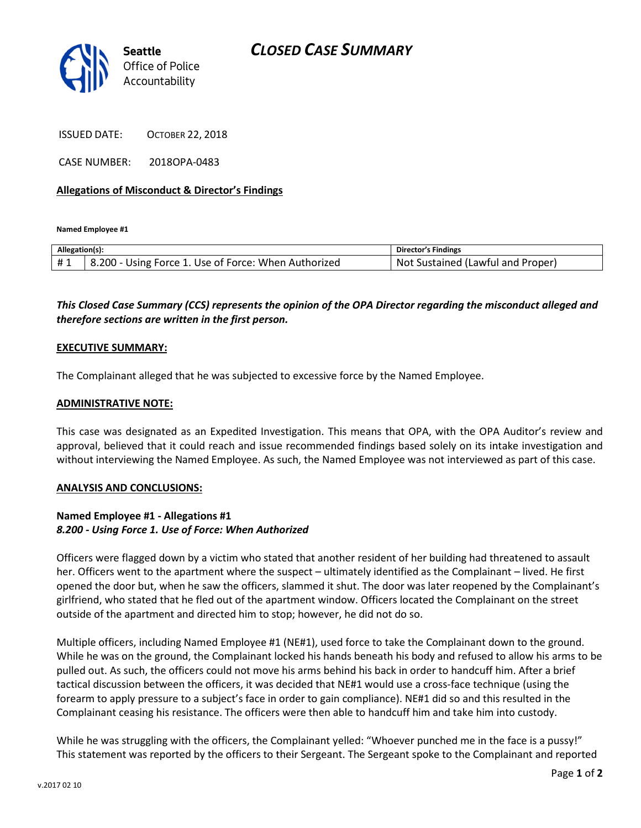

ISSUED DATE: OCTOBER 22, 2018

CASE NUMBER: 2018OPA-0483

### Allegations of Misconduct & Director's Findings

Named Employee #1

| Allegation(s): |                                                      | Director's Findings                      |
|----------------|------------------------------------------------------|------------------------------------------|
|                | 8.200 - Using Force 1. Use of Force: When Authorized | t Sustained (Lawful and Proper).<br>Not. |

# This Closed Case Summary (CCS) represents the opinion of the OPA Director regarding the misconduct alleged and therefore sections are written in the first person.

#### EXECUTIVE SUMMARY:

The Complainant alleged that he was subjected to excessive force by the Named Employee.

#### ADMINISTRATIVE NOTE:

This case was designated as an Expedited Investigation. This means that OPA, with the OPA Auditor's review and approval, believed that it could reach and issue recommended findings based solely on its intake investigation and without interviewing the Named Employee. As such, the Named Employee was not interviewed as part of this case.

#### ANALYSIS AND CONCLUSIONS:

## Named Employee #1 - Allegations #1 8.200 - Using Force 1. Use of Force: When Authorized

Officers were flagged down by a victim who stated that another resident of her building had threatened to assault her. Officers went to the apartment where the suspect – ultimately identified as the Complainant – lived. He first opened the door but, when he saw the officers, slammed it shut. The door was later reopened by the Complainant's girlfriend, who stated that he fled out of the apartment window. Officers located the Complainant on the street outside of the apartment and directed him to stop; however, he did not do so.

Multiple officers, including Named Employee #1 (NE#1), used force to take the Complainant down to the ground. While he was on the ground, the Complainant locked his hands beneath his body and refused to allow his arms to be pulled out. As such, the officers could not move his arms behind his back in order to handcuff him. After a brief tactical discussion between the officers, it was decided that NE#1 would use a cross-face technique (using the forearm to apply pressure to a subject's face in order to gain compliance). NE#1 did so and this resulted in the Complainant ceasing his resistance. The officers were then able to handcuff him and take him into custody.

While he was struggling with the officers, the Complainant yelled: "Whoever punched me in the face is a pussy!" This statement was reported by the officers to their Sergeant. The Sergeant spoke to the Complainant and reported